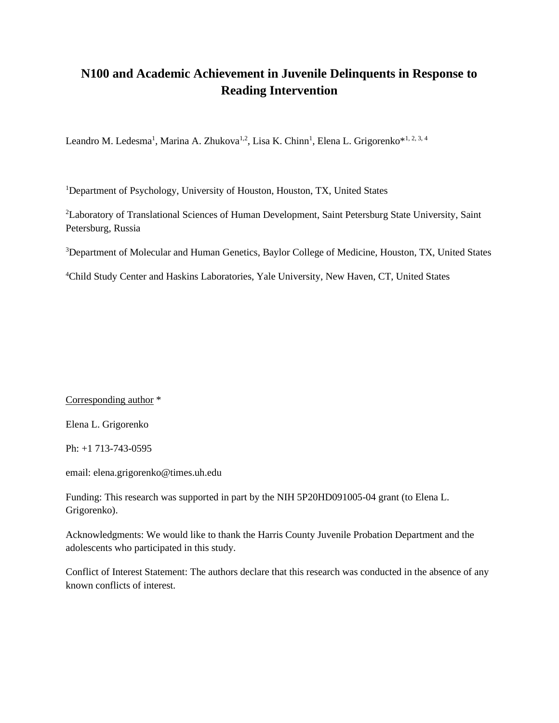## **N100 and Academic Achievement in Juvenile Delinquents in Response to Reading Intervention**

Leandro M. Ledesma<sup>1</sup>, Marina A. Zhukova<sup>1,2</sup>, Lisa K. Chinn<sup>1</sup>, Elena L. Grigorenko<sup>\*1, 2, 3, 4</sup>

<sup>1</sup>Department of Psychology, University of Houston, Houston, TX, United States

<sup>2</sup>Laboratory of Translational Sciences of Human Development, Saint Petersburg State University, Saint Petersburg, Russia

<sup>3</sup>Department of Molecular and Human Genetics, Baylor College of Medicine, Houston, TX, United States

<sup>4</sup>Child Study Center and Haskins Laboratories, Yale University, New Haven, CT, United States

Corresponding author \*

Elena L. Grigorenko

Ph: +1 713-743-0595

email: elena.grigorenko@times.uh.edu

Funding: This research was supported in part by the NIH 5P20HD091005-04 grant (to Elena L. Grigorenko).

Acknowledgments: We would like to thank the Harris County Juvenile Probation Department and the adolescents who participated in this study.

Conflict of Interest Statement: The authors declare that this research was conducted in the absence of any known conflicts of interest.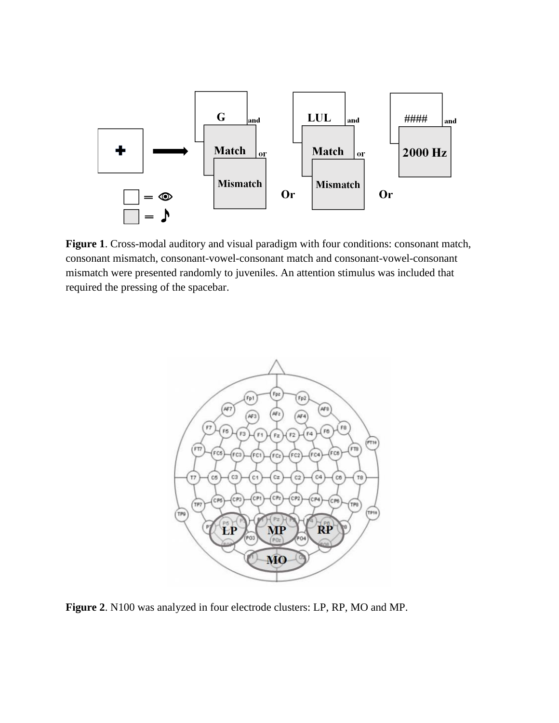

**Figure 1**. Cross-modal auditory and visual paradigm with four conditions: consonant match, consonant mismatch, consonant-vowel-consonant match and consonant-vowel-consonant mismatch were presented randomly to juveniles. An attention stimulus was included that required the pressing of the spacebar.



**Figure 2**. N100 was analyzed in four electrode clusters: LP, RP, MO and MP.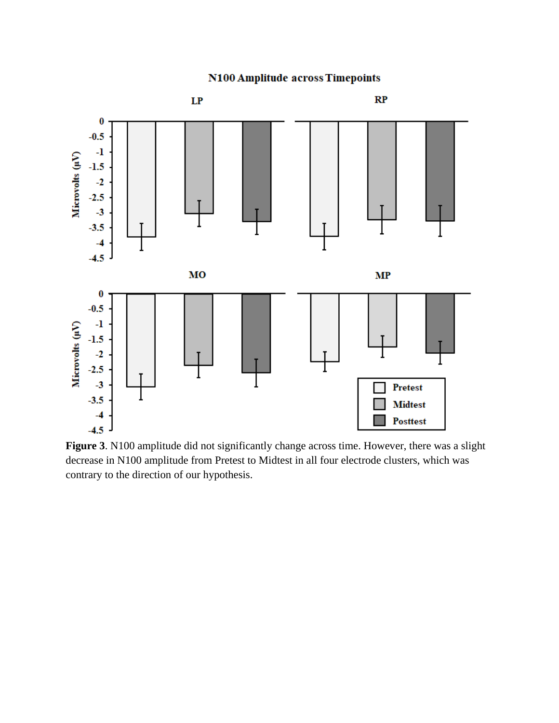



**Figure 3**. N100 amplitude did not significantly change across time. However, there was a slight decrease in N100 amplitude from Pretest to Midtest in all four electrode clusters, which was contrary to the direction of our hypothesis.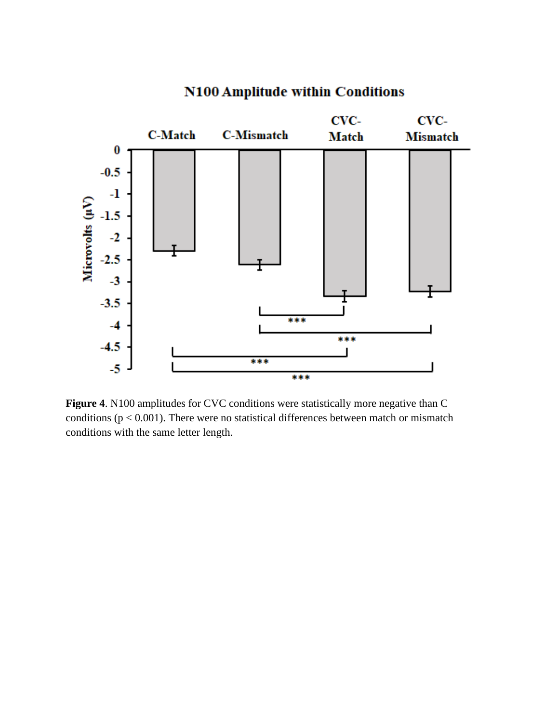

## N100 Amplitude within Conditions

**Figure 4**. N100 amplitudes for CVC conditions were statistically more negative than C conditions ( $p < 0.001$ ). There were no statistical differences between match or mismatch conditions with the same letter length.